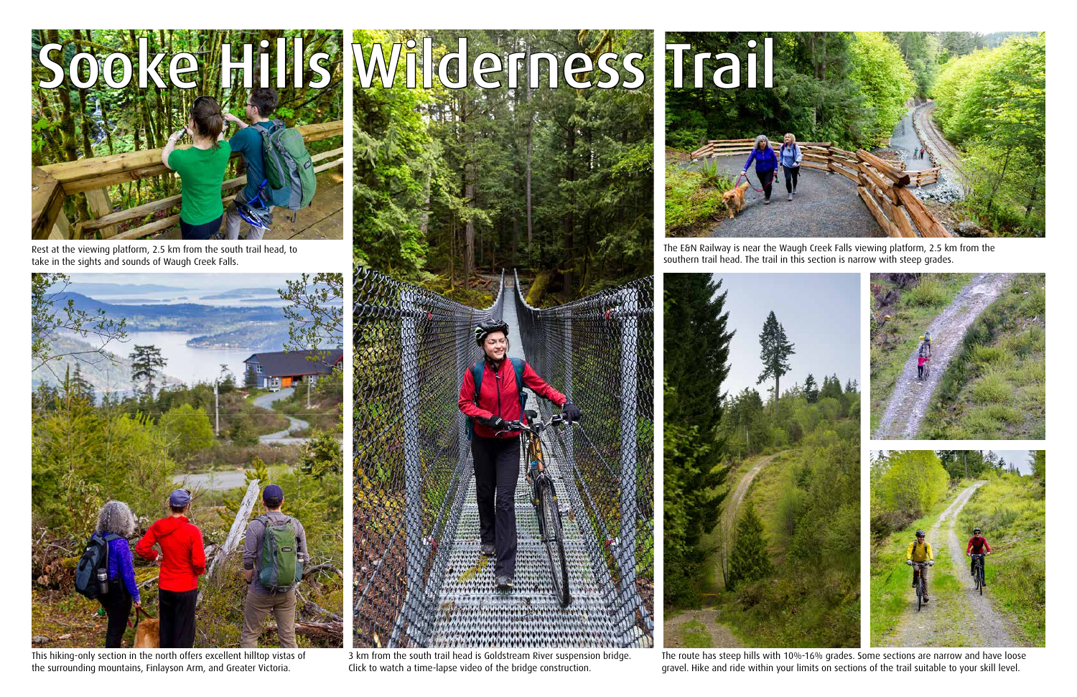



Rest at the viewing platform, 2.5 km from the south trail head, to take in the sights and sounds of Waugh Creek Falls.



This hiking-only section in the north offers excellent hilltop vistas of the surrounding mountains, Finlayson Arm, and Greater Victoria.

3 km from the south trail head is Goldstream River suspension bridge. [Click to watch a time-lapse video of the bridge construction.](https://youtu.be/ze5FTvNCGbU)



The E&N Railway is near the Waugh Creek Falls viewing platform, 2.5 km from the southern trail head. The trail in this section is narrow with steep grades.



The route has steep hills with 10%-16% grades. Some sections are narrow and have loose gravel. Hike and ride within your limits on sections of the trail suitable to your skill level.